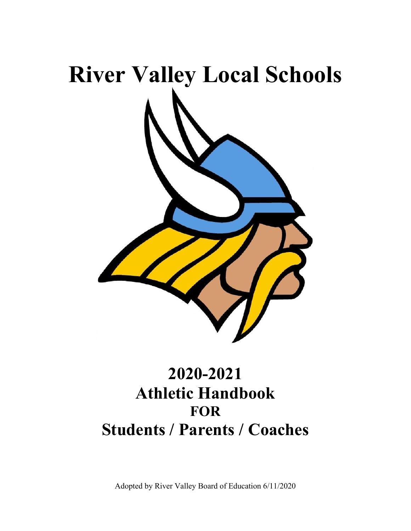

# **2020-2021 Athletic Handbook FOR Students / Parents / Coaches**

Adopted by River Valley Board of Education 6/11/2020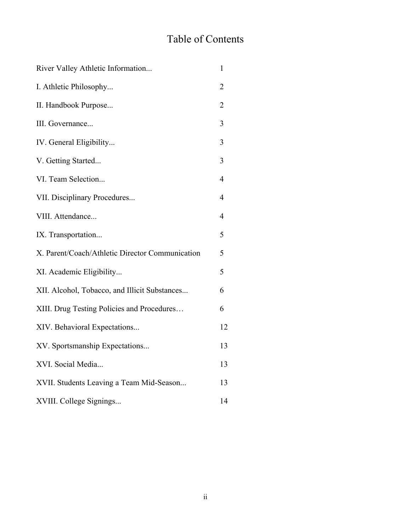# Table of Contents

| River Valley Athletic Information               | $\mathbf{1}$   |
|-------------------------------------------------|----------------|
| I. Athletic Philosophy                          | 2              |
| II. Handbook Purpose                            | $\overline{2}$ |
| III. Governance                                 | 3              |
| IV. General Eligibility                         | 3              |
| V. Getting Started                              | 3              |
| VI. Team Selection                              | $\overline{4}$ |
| VII. Disciplinary Procedures                    | $\overline{4}$ |
| VIII. Attendance                                | $\overline{4}$ |
| IX. Transportation                              | 5              |
| X. Parent/Coach/Athletic Director Communication | 5              |
| XI. Academic Eligibility                        | 5              |
| XII. Alcohol, Tobacco, and Illicit Substances   | 6              |
| XIII. Drug Testing Policies and Procedures      | 6              |
| XIV. Behavioral Expectations                    | 12             |
| XV. Sportsmanship Expectations                  | 13             |
| XVI. Social Media                               | 13             |
| XVII. Students Leaving a Team Mid-Season        | 13             |
| XVIII. College Signings                         | 14             |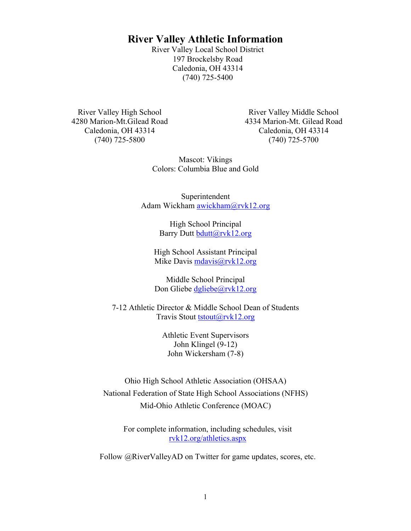# **River Valley Athletic Information**

River Valley Local School District 197 Brockelsby Road Caledonia, OH 43314 (740) 725-5400

River Valley High School 4280 Marion-Mt.Gilead Road Caledonia, OH 43314 (740) 725-5800

River Valley Middle School 4334 Marion-Mt. Gilead Road Caledonia, OH 43314 (740) 725-5700

Mascot: Vikings Colors: Columbia Blue and Gold

Superintendent Adam Wickham awickham@rvk12.org

> High School Principal Barry Dutt bdutt@rvk12.org

High School Assistant Principal Mike Davis mdavis@rvk12.org

Middle School Principal Don Gliebe dgliebe@rvk12.org

7-12 Athletic Director & Middle School Dean of Students Travis Stout tstout@rvk12.org

> Athletic Event Supervisors John Klingel (9-12) John Wickersham (7-8)

Ohio High School Athletic Association (OHSAA) National Federation of State High School Associations (NFHS) Mid-Ohio Athletic Conference (MOAC)

For complete information, including schedules, visit rvk12.org/athletics.aspx

Follow @RiverValleyAD on Twitter for game updates, scores, etc.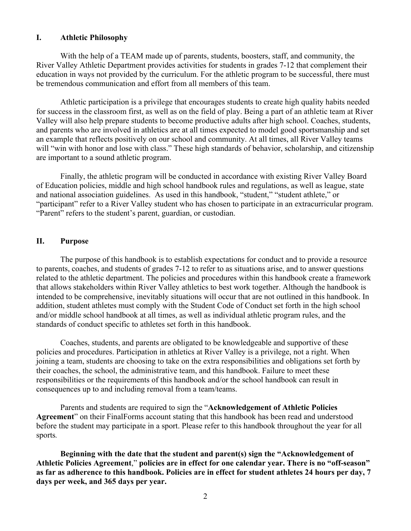#### **I. Athletic Philosophy**

With the help of a TEAM made up of parents, students, boosters, staff, and community, the River Valley Athletic Department provides activities for students in grades 7-12 that complement their education in ways not provided by the curriculum. For the athletic program to be successful, there must be tremendous communication and effort from all members of this team.

Athletic participation is a privilege that encourages students to create high quality habits needed for success in the classroom first, as well as on the field of play. Being a part of an athletic team at River Valley will also help prepare students to become productive adults after high school. Coaches, students, and parents who are involved in athletics are at all times expected to model good sportsmanship and set an example that reflects positively on our school and community. At all times, all River Valley teams will "win with honor and lose with class." These high standards of behavior, scholarship, and citizenship are important to a sound athletic program.

Finally, the athletic program will be conducted in accordance with existing River Valley Board of Education policies, middle and high school handbook rules and regulations, as well as league, state and national association guidelines. As used in this handbook, "student," "student athlete," or "participant" refer to a River Valley student who has chosen to participate in an extracurricular program. "Parent" refers to the student's parent, guardian, or custodian.

#### **II. Purpose**

The purpose of this handbook is to establish expectations for conduct and to provide a resource to parents, coaches, and students of grades 7-12 to refer to as situations arise, and to answer questions related to the athletic department. The policies and procedures within this handbook create a framework that allows stakeholders within River Valley athletics to best work together. Although the handbook is intended to be comprehensive, inevitably situations will occur that are not outlined in this handbook. In addition, student athletes must comply with the Student Code of Conduct set forth in the high school and/or middle school handbook at all times, as well as individual athletic program rules, and the standards of conduct specific to athletes set forth in this handbook.

Coaches, students, and parents are obligated to be knowledgeable and supportive of these policies and procedures. Participation in athletics at River Valley is a privilege, not a right. When joining a team, students are choosing to take on the extra responsibilities and obligations set forth by their coaches, the school, the administrative team, and this handbook. Failure to meet these responsibilities or the requirements of this handbook and/or the school handbook can result in consequences up to and including removal from a team/teams.

Parents and students are required to sign the "**Acknowledgement of Athletic Policies Agreement**" on their FinalForms account stating that this handbook has been read and understood before the student may participate in a sport. Please refer to this handbook throughout the year for all sports*.*

**Beginning with the date that the student and parent(s) sign the "Acknowledgement of Athletic Policies Agreement**," **policies are in effect for one calendar year. There is no "off-season" as far as adherence to this handbook. Policies are in effect for student athletes 24 hours per day, 7 days per week, and 365 days per year.**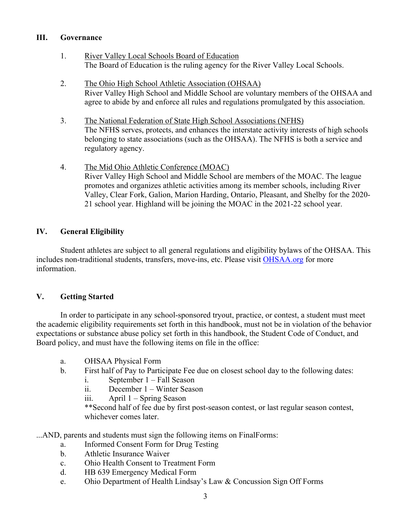#### **III. Governance**

- 1. River Valley Local Schools Board of Education The Board of Education is the ruling agency for the River Valley Local Schools.
- 2. The Ohio High School Athletic Association (OHSAA) River Valley High School and Middle School are voluntary members of the OHSAA and agree to abide by and enforce all rules and regulations promulgated by this association.
- 3. The National Federation of State High School Associations (NFHS) The NFHS serves, protects, and enhances the interstate activity interests of high schools belonging to state associations (such as the OHSAA). The NFHS is both a service and regulatory agency.
- 4. The Mid Ohio Athletic Conference (MOAC) River Valley High School and Middle School are members of the MOAC. The league promotes and organizes athletic activities among its member schools, including River Valley, Clear Fork, Galion, Marion Harding, Ontario, Pleasant, and Shelby for the 2020- 21 school year. Highland will be joining the MOAC in the 2021-22 school year.

#### **IV. General Eligibility**

Student athletes are subject to all general regulations and eligibility bylaws of the OHSAA. This includes non-traditional students, transfers, move-ins, etc. Please visit OHSAA.org for more information.

#### **V. Getting Started**

In order to participate in any school-sponsored tryout, practice, or contest, a student must meet the academic eligibility requirements set forth in this handbook, must not be in violation of the behavior expectations or substance abuse policy set forth in this handbook, the Student Code of Conduct, and Board policy, and must have the following items on file in the office:

- a. OHSAA Physical Form
- b. First half of Pay to Participate Fee due on closest school day to the following dates:
	- i. September 1 Fall Season
	- ii. December 1 Winter Season
	- iii. April 1 Spring Season

\*\*Second half of fee due by first post-season contest, or last regular season contest, whichever comes later.

...AND, parents and students must sign the following items on FinalForms:

- a. Informed Consent Form for Drug Testing
- b. Athletic Insurance Waiver
- c. Ohio Health Consent to Treatment Form
- d. HB 639 Emergency Medical Form
- e. Ohio Department of Health Lindsay's Law & Concussion Sign Off Forms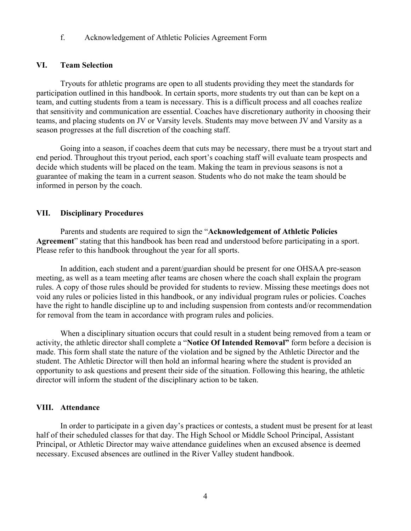f. Acknowledgement of Athletic Policies Agreement Form

#### **VI. Team Selection**

Tryouts for athletic programs are open to all students providing they meet the standards for participation outlined in this handbook. In certain sports, more students try out than can be kept on a team, and cutting students from a team is necessary. This is a difficult process and all coaches realize that sensitivity and communication are essential. Coaches have discretionary authority in choosing their teams, and placing students on JV or Varsity levels. Students may move between JV and Varsity as a season progresses at the full discretion of the coaching staff.

Going into a season, if coaches deem that cuts may be necessary, there must be a tryout start and end period. Throughout this tryout period, each sport's coaching staff will evaluate team prospects and decide which students will be placed on the team. Making the team in previous seasons is not a guarantee of making the team in a current season. Students who do not make the team should be informed in person by the coach.

#### **VII. Disciplinary Procedures**

Parents and students are required to sign the "**Acknowledgement of Athletic Policies Agreement**" stating that this handbook has been read and understood before participating in a sport. Please refer to this handbook throughout the year for all sports.

In addition, each student and a parent/guardian should be present for one OHSAA pre-season meeting, as well as a team meeting after teams are chosen where the coach shall explain the program rules. A copy of those rules should be provided for students to review. Missing these meetings does not void any rules or policies listed in this handbook, or any individual program rules or policies. Coaches have the right to handle discipline up to and including suspension from contests and/or recommendation for removal from the team in accordance with program rules and policies.

When a disciplinary situation occurs that could result in a student being removed from a team or activity, the athletic director shall complete a "**Notice Of Intended Removal"** form before a decision is made. This form shall state the nature of the violation and be signed by the Athletic Director and the student. The Athletic Director will then hold an informal hearing where the student is provided an opportunity to ask questions and present their side of the situation. Following this hearing, the athletic director will inform the student of the disciplinary action to be taken.

#### **VIII. Attendance**

In order to participate in a given day's practices or contests, a student must be present for at least half of their scheduled classes for that day. The High School or Middle School Principal, Assistant Principal, or Athletic Director may waive attendance guidelines when an excused absence is deemed necessary. Excused absences are outlined in the River Valley student handbook.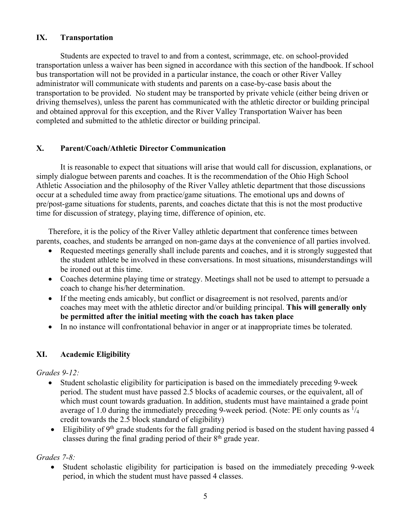#### **IX. Transportation**

Students are expected to travel to and from a contest, scrimmage, etc. on school-provided transportation unless a waiver has been signed in accordance with this section of the handbook. If school bus transportation will not be provided in a particular instance, the coach or other River Valley administrator will communicate with students and parents on a case-by-case basis about the transportation to be provided. No student may be transported by private vehicle (either being driven or driving themselves), unless the parent has communicated with the athletic director or building principal and obtained approval for this exception, and the River Valley Transportation Waiver has been completed and submitted to the athletic director or building principal.

#### **X. Parent/Coach/Athletic Director Communication**

It is reasonable to expect that situations will arise that would call for discussion, explanations, or simply dialogue between parents and coaches. It is the recommendation of the Ohio High School Athletic Association and the philosophy of the River Valley athletic department that those discussions occur at a scheduled time away from practice/game situations. The emotional ups and downs of pre/post-game situations for students, parents, and coaches dictate that this is not the most productive time for discussion of strategy, playing time, difference of opinion, etc.

Therefore, it is the policy of the River Valley athletic department that conference times between parents, coaches, and students be arranged on non-game days at the convenience of all parties involved.

- Requested meetings generally shall include parents and coaches, and it is strongly suggested that the student athlete be involved in these conversations. In most situations, misunderstandings will be ironed out at this time.
- Coaches determine playing time or strategy. Meetings shall not be used to attempt to persuade a coach to change his/her determination.
- If the meeting ends amicably, but conflict or disagreement is not resolved, parents and/or coaches may meet with the athletic director and/or building principal. **This will generally only be permitted after the initial meeting with the coach has taken place**
- In no instance will confrontational behavior in anger or at inappropriate times be tolerated.

#### **XI. Academic Eligibility**

#### *Grades 9-12:*

- Student scholastic eligibility for participation is based on the immediately preceding 9-week period. The student must have passed 2.5 blocks of academic courses, or the equivalent, all of which must count towards graduation. In addition, students must have maintained a grade point average of 1.0 during the immediately preceding 9-week period. (Note: PE only counts as  $\frac{1}{4}$ credit towards the 2.5 block standard of eligibility)
- Eligibility of  $9<sup>th</sup>$  grade students for the fall grading period is based on the student having passed 4 classes during the final grading period of their  $8<sup>th</sup>$  grade year.

#### *Grades 7-8:*

• Student scholastic eligibility for participation is based on the immediately preceding 9-week period, in which the student must have passed 4 classes.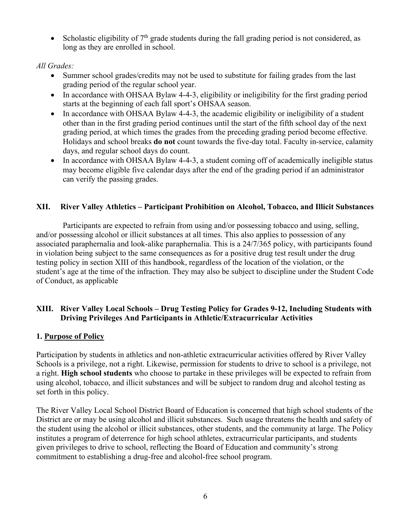• Scholastic eligibility of  $7<sup>th</sup>$  grade students during the fall grading period is not considered, as long as they are enrolled in school.

#### *All Grades:*

- Summer school grades/credits may not be used to substitute for failing grades from the last grading period of the regular school year.
- In accordance with OHSAA Bylaw 4-4-3, eligibility or ineligibility for the first grading period starts at the beginning of each fall sport's OHSAA season.
- In accordance with OHSAA Bylaw 4-4-3, the academic eligibility or ineligibility of a student other than in the first grading period continues until the start of the fifth school day of the next grading period, at which times the grades from the preceding grading period become effective. Holidays and school breaks **do not** count towards the five-day total. Faculty in-service, calamity days, and regular school days do count.
- In accordance with OHSAA Bylaw 4-4-3, a student coming off of academically ineligible status may become eligible five calendar days after the end of the grading period if an administrator can verify the passing grades.

#### **XII. River Valley Athletics – Participant Prohibition on Alcohol, Tobacco, and Illicit Substances**

Participants are expected to refrain from using and/or possessing tobacco and using, selling, and/or possessing alcohol or illicit substances at all times. This also applies to possession of any associated paraphernalia and look-alike paraphernalia. This is a 24/7/365 policy, with participants found in violation being subject to the same consequences as for a positive drug test result under the drug testing policy in section XIII of this handbook, regardless of the location of the violation, or the student's age at the time of the infraction. They may also be subject to discipline under the Student Code of Conduct, as applicable

#### **XIII. River Valley Local Schools – Drug Testing Policy for Grades 9-12, Including Students with Driving Privileges And Participants in Athletic/Extracurricular Activities**

#### **1. Purpose of Policy**

Participation by students in athletics and non-athletic extracurricular activities offered by River Valley Schools is a privilege, not a right. Likewise, permission for students to drive to school is a privilege, not a right. **High school students** who choose to partake in these privileges will be expected to refrain from using alcohol, tobacco, and illicit substances and will be subject to random drug and alcohol testing as set forth in this policy.

The River Valley Local School District Board of Education is concerned that high school students of the District are or may be using alcohol and illicit substances. Such usage threatens the health and safety of the student using the alcohol or illicit substances, other students, and the community at large. The Policy institutes a program of deterrence for high school athletes, extracurricular participants, and students given privileges to drive to school, reflecting the Board of Education and community's strong commitment to establishing a drug-free and alcohol-free school program.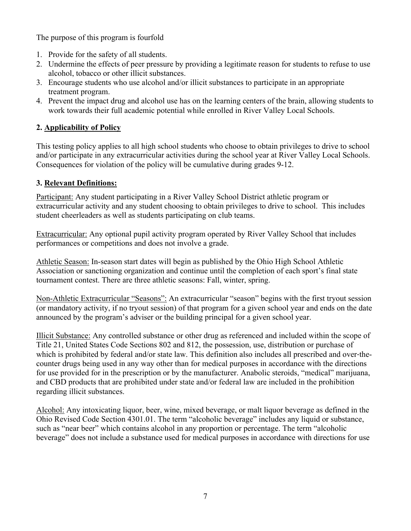The purpose of this program is fourfold

- 1. Provide for the safety of all students.
- 2. Undermine the effects of peer pressure by providing a legitimate reason for students to refuse to use alcohol, tobacco or other illicit substances.
- 3. Encourage students who use alcohol and/or illicit substances to participate in an appropriate treatment program.
- 4. Prevent the impact drug and alcohol use has on the learning centers of the brain, allowing students to work towards their full academic potential while enrolled in River Valley Local Schools.

# **2. Applicability of Policy**

This testing policy applies to all high school students who choose to obtain privileges to drive to school and/or participate in any extracurricular activities during the school year at River Valley Local Schools. Consequences for violation of the policy will be cumulative during grades 9-12.

# **3. Relevant Definitions:**

Participant: Any student participating in a River Valley School District athletic program or extracurricular activity and any student choosing to obtain privileges to drive to school. This includes student cheerleaders as well as students participating on club teams.

Extracurricular: Any optional pupil activity program operated by River Valley School that includes performances or competitions and does not involve a grade.

Athletic Season: In-season start dates will begin as published by the Ohio High School Athletic Association or sanctioning organization and continue until the completion of each sport's final state tournament contest. There are three athletic seasons: Fall, winter, spring.

Non-Athletic Extracurricular "Seasons": An extracurricular "season" begins with the first tryout session (or mandatory activity, if no tryout session) of that program for a given school year and ends on the date announced by the program's adviser or the building principal for a given school year.

Illicit Substance: Any controlled substance or other drug as referenced and included within the scope of Title 21, United States Code Sections 802 and 812, the possession, use, distribution or purchase of which is prohibited by federal and/or state law. This definition also includes all prescribed and over-thecounter drugs being used in any way other than for medical purposes in accordance with the directions for use provided for in the prescription or by the manufacturer. Anabolic steroids, "medical" marijuana, and CBD products that are prohibited under state and/or federal law are included in the prohibition regarding illicit substances.

Alcohol: Any intoxicating liquor, beer, wine, mixed beverage, or malt liquor beverage as defined in the Ohio Revised Code Section 4301.01. The term "alcoholic beverage" includes any liquid or substance, such as "near beer" which contains alcohol in any proportion or percentage. The term "alcoholic beverage" does not include a substance used for medical purposes in accordance with directions for use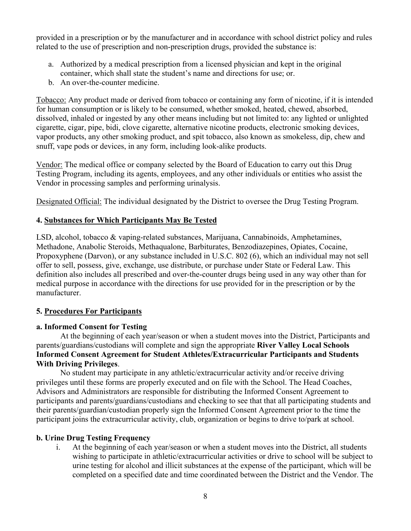provided in a prescription or by the manufacturer and in accordance with school district policy and rules related to the use of prescription and non-prescription drugs, provided the substance is:

- a. Authorized by a medical prescription from a licensed physician and kept in the original container, which shall state the student's name and directions for use; or.
- b. An over-the-counter medicine.

Tobacco: Any product made or derived from tobacco or containing any form of nicotine, if it is intended for human consumption or is likely to be consumed, whether smoked, heated, chewed, absorbed, dissolved, inhaled or ingested by any other means including but not limited to: any lighted or unlighted cigarette, cigar, pipe, bidi, clove cigarette, alternative nicotine products, electronic smoking devices, vapor products, any other smoking product, and spit tobacco, also known as smokeless, dip, chew and snuff, vape pods or devices, in any form, including look-alike products.

Vendor: The medical office or company selected by the Board of Education to carry out this Drug Testing Program, including its agents, employees, and any other individuals or entities who assist the Vendor in processing samples and performing urinalysis.

Designated Official: The individual designated by the District to oversee the Drug Testing Program.

#### **4. Substances for Which Participants May Be Tested**

LSD, alcohol, tobacco & vaping-related substances, Marijuana, Cannabinoids, Amphetamines, Methadone, Anabolic Steroids, Methaqualone, Barbiturates, Benzodiazepines, Opiates, Cocaine, Propoxyphene (Darvon), or any substance included in U.S.C. 802 (6), which an individual may not sell offer to sell, possess, give, exchange, use distribute, or purchase under State or Federal Law. This definition also includes all prescribed and over-the-counter drugs being used in any way other than for medical purpose in accordance with the directions for use provided for in the prescription or by the manufacturer.

#### **5. Procedures For Participants**

#### **a. Informed Consent for Testing**

At the beginning of each year/season or when a student moves into the District, Participants and parents/guardians/custodians will complete and sign the appropriate **River Valley Local Schools Informed Consent Agreement for Student Athletes/Extracurricular Participants and Students With Driving Privileges**.

No student may participate in any athletic/extracurricular activity and/or receive driving privileges until these forms are properly executed and on file with the School. The Head Coaches, Advisors and Administrators are responsible for distributing the Informed Consent Agreement to participants and parents/guardians/custodians and checking to see that that all participating students and their parents/guardian/custodian properly sign the Informed Consent Agreement prior to the time the participant joins the extracurricular activity, club, organization or begins to drive to/park at school.

#### **b. Urine Drug Testing Frequency**

i. At the beginning of each year/season or when a student moves into the District, all students wishing to participate in athletic/extracurricular activities or drive to school will be subject to urine testing for alcohol and illicit substances at the expense of the participant, which will be completed on a specified date and time coordinated between the District and the Vendor. The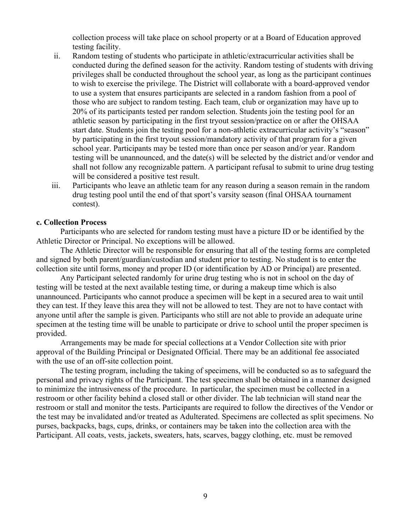collection process will take place on school property or at a Board of Education approved testing facility.

- ii. Random testing of students who participate in athletic/extracurricular activities shall be conducted during the defined season for the activity. Random testing of students with driving privileges shall be conducted throughout the school year, as long as the participant continues to wish to exercise the privilege. The District will collaborate with a board-approved vendor to use a system that ensures participants are selected in a random fashion from a pool of those who are subject to random testing. Each team, club or organization may have up to 20% of its participants tested per random selection. Students join the testing pool for an athletic season by participating in the first tryout session/practice on or after the OHSAA start date. Students join the testing pool for a non-athletic extracurricular activity's "season" by participating in the first tryout session/mandatory activity of that program for a given school year. Participants may be tested more than once per season and/or year. Random testing will be unannounced, and the date(s) will be selected by the district and/or vendor and shall not follow any recognizable pattern. A participant refusal to submit to urine drug testing will be considered a positive test result.
- iii. Participants who leave an athletic team for any reason during a season remain in the random drug testing pool until the end of that sport's varsity season (final OHSAA tournament contest).

#### **c. Collection Process**

Participants who are selected for random testing must have a picture ID or be identified by the Athletic Director or Principal. No exceptions will be allowed.

The Athletic Director will be responsible for ensuring that all of the testing forms are completed and signed by both parent/guardian/custodian and student prior to testing. No student is to enter the collection site until forms, money and proper ID (or identification by AD or Principal) are presented.

Any Participant selected randomly for urine drug testing who is not in school on the day of testing will be tested at the next available testing time, or during a makeup time which is also unannounced. Participants who cannot produce a specimen will be kept in a secured area to wait until they can test. If they leave this area they will not be allowed to test. They are not to have contact with anyone until after the sample is given. Participants who still are not able to provide an adequate urine specimen at the testing time will be unable to participate or drive to school until the proper specimen is provided.

Arrangements may be made for special collections at a Vendor Collection site with prior approval of the Building Principal or Designated Official. There may be an additional fee associated with the use of an off-site collection point.

The testing program, including the taking of specimens, will be conducted so as to safeguard the personal and privacy rights of the Participant. The test specimen shall be obtained in a manner designed to minimize the intrusiveness of the procedure. In particular, the specimen must be collected in a restroom or other facility behind a closed stall or other divider. The lab technician will stand near the restroom or stall and monitor the tests. Participants are required to follow the directives of the Vendor or the test may be invalidated and/or treated as Adulterated. Specimens are collected as split specimens. No purses, backpacks, bags, cups, drinks, or containers may be taken into the collection area with the Participant. All coats, vests, jackets, sweaters, hats, scarves, baggy clothing, etc. must be removed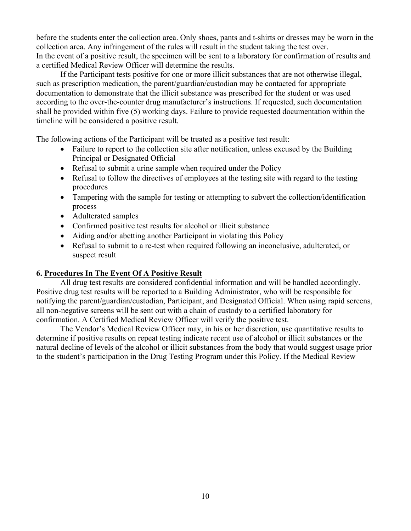before the students enter the collection area. Only shoes, pants and t-shirts or dresses may be worn in the collection area. Any infringement of the rules will result in the student taking the test over. In the event of a positive result, the specimen will be sent to a laboratory for confirmation of results and a certified Medical Review Officer will determine the results.

If the Participant tests positive for one or more illicit substances that are not otherwise illegal, such as prescription medication, the parent/guardian/custodian may be contacted for appropriate documentation to demonstrate that the illicit substance was prescribed for the student or was used according to the over-the-counter drug manufacturer's instructions. If requested, such documentation shall be provided within five (5) working days. Failure to provide requested documentation within the timeline will be considered a positive result.

The following actions of the Participant will be treated as a positive test result:

- Failure to report to the collection site after notification, unless excused by the Building Principal or Designated Official
- Refusal to submit a urine sample when required under the Policy
- Refusal to follow the directives of employees at the testing site with regard to the testing procedures
- Tampering with the sample for testing or attempting to subvert the collection/identification process
- Adulterated samples
- Confirmed positive test results for alcohol or illicit substance
- Aiding and/or abetting another Participant in violating this Policy
- Refusal to submit to a re-test when required following an inconclusive, adulterated, or suspect result

#### **6. Procedures In The Event Of A Positive Result**

All drug test results are considered confidential information and will be handled accordingly. Positive drug test results will be reported to a Building Administrator, who will be responsible for notifying the parent/guardian/custodian, Participant, and Designated Official. When using rapid screens, all non-negative screens will be sent out with a chain of custody to a certified laboratory for confirmation. A Certified Medical Review Officer will verify the positive test.

The Vendor's Medical Review Officer may, in his or her discretion, use quantitative results to determine if positive results on repeat testing indicate recent use of alcohol or illicit substances or the natural decline of levels of the alcohol or illicit substances from the body that would suggest usage prior to the student's participation in the Drug Testing Program under this Policy. If the Medical Review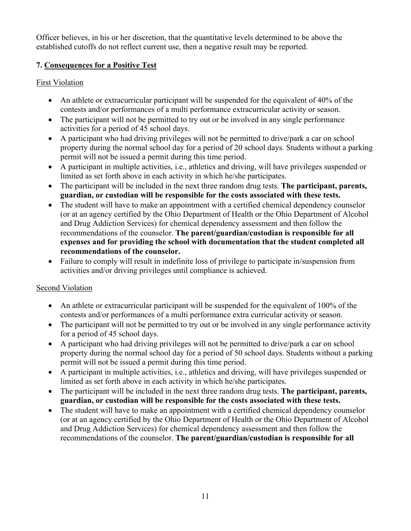Officer believes, in his or her discretion, that the quantitative levels determined to be above the established cutoffs do not reflect current use, then a negative result may be reported.

### **7. Consequences for a Positive Test**

#### First Violation

- An athlete or extracurricular participant will be suspended for the equivalent of  $40\%$  of the contests and/or performances of a multi performance extracurricular activity or season.
- The participant will not be permitted to try out or be involved in any single performance activities for a period of 45 school days.
- A participant who had driving privileges will not be permitted to drive/park a car on school property during the normal school day for a period of 20 school days. Students without a parking permit will not be issued a permit during this time period.
- A participant in multiple activities, i.e., athletics and driving, will have privileges suspended or limited as set forth above in each activity in which he/she participates.
- The participant will be included in the next three random drug tests. **The participant, parents, guardian, or custodian will be responsible for the costs associated with these tests.**
- The student will have to make an appointment with a certified chemical dependency counselor (or at an agency certified by the Ohio Department of Health or the Ohio Department of Alcohol and Drug Addiction Services) for chemical dependency assessment and then follow the recommendations of the counselor. **The parent/guardian/custodian is responsible for all expenses and for providing the school with documentation that the student completed all recommendations of the counselor.**
- Failure to comply will result in indefinite loss of privilege to participate in/suspension from activities and/or driving privileges until compliance is achieved.

#### Second Violation

- An athlete or extracurricular participant will be suspended for the equivalent of 100% of the contests and/or performances of a multi performance extra curricular activity or season.
- The participant will not be permitted to try out or be involved in any single performance activity for a period of 45 school days.
- A participant who had driving privileges will not be permitted to drive/park a car on school property during the normal school day for a period of 50 school days. Students without a parking permit will not be issued a permit during this time period.
- A participant in multiple activities, i.e., athletics and driving, will have privileges suspended or limited as set forth above in each activity in which he/she participates.
- The participant will be included in the next three random drug tests. **The participant, parents, guardian, or custodian will be responsible for the costs associated with these tests.**
- The student will have to make an appointment with a certified chemical dependency counselor (or at an agency certified by the Ohio Department of Health or the Ohio Department of Alcohol and Drug Addiction Services) for chemical dependency assessment and then follow the recommendations of the counselor. **The parent/guardian/custodian is responsible for all**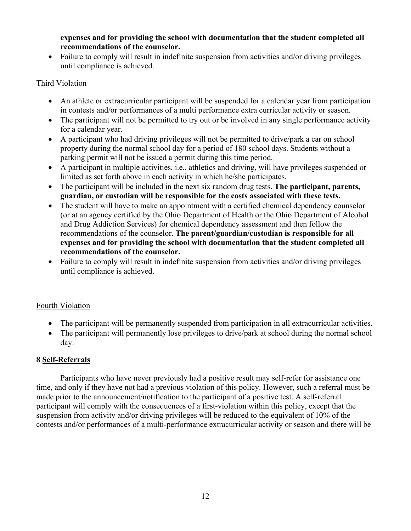**expenses and for providing the school with documentation that the student completed all recommendations of the counselor.**

• Failure to comply will result in indefinite suspension from activities and/or driving privileges until compliance is achieved.

# Third Violation

- An athlete or extracurricular participant will be suspended for a calendar year from participation in contests and/or performances of a multi performance extra curricular activity or season.
- The participant will not be permitted to try out or be involved in any single performance activity for a calendar year.
- A participant who had driving privileges will not be permitted to drive/park a car on school property during the normal school day for a period of 180 school days. Students without a parking permit will not be issued a permit during this time period.
- A participant in multiple activities, i.e., athletics and driving, will have privileges suspended or limited as set forth above in each activity in which he/she participates.
- The participant will be included in the next six random drug tests. **The participant, parents, guardian, or custodian will be responsible for the costs associated with these tests.**
- The student will have to make an appointment with a certified chemical dependency counselor (or at an agency certified by the Ohio Department of Health or the Ohio Department of Alcohol and Drug Addiction Services) for chemical dependency assessment and then follow the recommendations of the counselor. **The parent/guardian/custodian is responsible for all expenses and for providing the school with documentation that the student completed all recommendations of the counselor.**
- Failure to comply will result in indefinite suspension from activities and/or driving privileges until compliance is achieved.

# Fourth Violation

- The participant will be permanently suspended from participation in all extracurricular activities.
- The participant will permanently lose privileges to drive/park at school during the normal school day.

# **8 Self-Referrals**

Participants who have never previously had a positive result may self-refer for assistance one time, and only if they have not had a previous violation of this policy. However, such a referral must be made prior to the announcement/notification to the participant of a positive test. A self-referral participant will comply with the consequences of a first-violation within this policy, except that the suspension from activity and/or driving privileges will be reduced to the equivalent of 10% of the contests and/or performances of a multi-performance extracurricular activity or season and there will be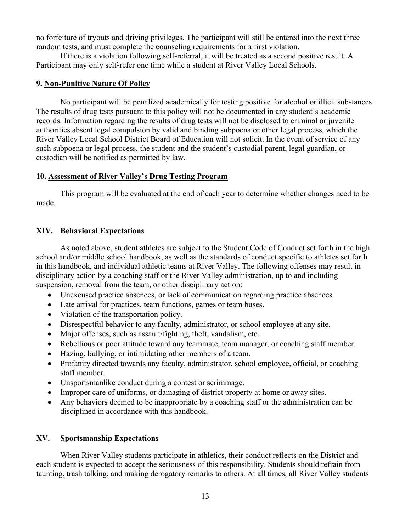no forfeiture of tryouts and driving privileges. The participant will still be entered into the next three random tests, and must complete the counseling requirements for a first violation.

If there is a violation following self-referral, it will be treated as a second positive result. A Participant may only self-refer one time while a student at River Valley Local Schools.

#### **9. Non-Punitive Nature Of Policy**

No participant will be penalized academically for testing positive for alcohol or illicit substances. The results of drug tests pursuant to this policy will not be documented in any student's academic records. Information regarding the results of drug tests will not be disclosed to criminal or juvenile authorities absent legal compulsion by valid and binding subpoena or other legal process, which the River Valley Local School District Board of Education will not solicit. In the event of service of any such subpoena or legal process, the student and the student's custodial parent, legal guardian, or custodian will be notified as permitted by law.

#### **10. Assessment of River Valley's Drug Testing Program**

This program will be evaluated at the end of each year to determine whether changes need to be made.

#### **XIV. Behavioral Expectations**

As noted above, student athletes are subject to the Student Code of Conduct set forth in the high school and/or middle school handbook, as well as the standards of conduct specific to athletes set forth in this handbook, and individual athletic teams at River Valley. The following offenses may result in disciplinary action by a coaching staff or the River Valley administration, up to and including suspension, removal from the team, or other disciplinary action:

- Unexcused practice absences, or lack of communication regarding practice absences.
- Late arrival for practices, team functions, games or team buses.
- Violation of the transportation policy.
- Disrespectful behavior to any faculty, administrator, or school employee at any site.
- Major offenses, such as assault/fighting, theft, vandalism, etc.
- Rebellious or poor attitude toward any teammate, team manager, or coaching staff member.
- Hazing, bullying, or intimidating other members of a team.
- Profanity directed towards any faculty, administrator, school employee, official, or coaching staff member.
- Unsportsmanlike conduct during a contest or scrimmage.
- Improper care of uniforms, or damaging of district property at home or away sites.
- Any behaviors deemed to be inappropriate by a coaching staff or the administration can be disciplined in accordance with this handbook.

#### **XV. Sportsmanship Expectations**

When River Valley students participate in athletics, their conduct reflects on the District and each student is expected to accept the seriousness of this responsibility. Students should refrain from taunting, trash talking, and making derogatory remarks to others. At all times, all River Valley students